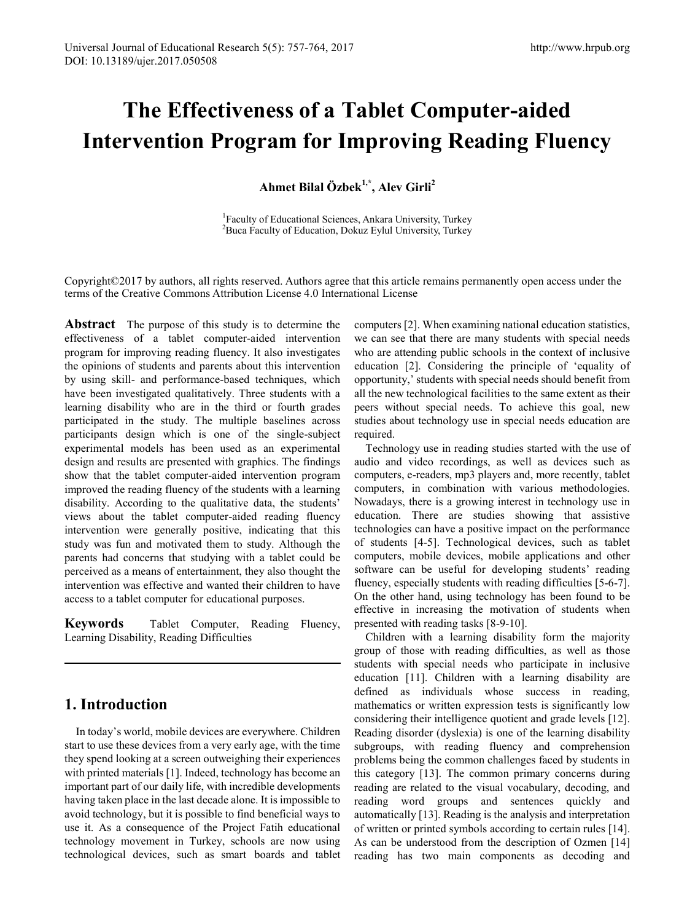# **The Effectiveness of a Tablet Computer-aided Intervention Program for Improving Reading Fluency**

**Ahmet Bilal Özbek1,\*, Alev Girli2** 

<sup>1</sup> Faculty of Educational Sciences, Ankara University, Turkey  ${}^{2}$ Buca Equality of Education, Dokuz Eylul University, Turkey <sup>2</sup>Buca Faculty of Education, Dokuz Eylul University, Turkey

Copyright©2017 by authors, all rights reserved. Authors agree that this article remains permanently open access under the terms of the Creative Commons Attribution License 4.0 International License

**Abstract** The purpose of this study is to determine the effectiveness of a tablet computer-aided intervention program for improving reading fluency. It also investigates the opinions of students and parents about this intervention by using skill- and performance-based techniques, which have been investigated qualitatively. Three students with a learning disability who are in the third or fourth grades participated in the study. The multiple baselines across participants design which is one of the single-subject experimental models has been used as an experimental design and results are presented with graphics. The findings show that the tablet computer-aided intervention program improved the reading fluency of the students with a learning disability. According to the qualitative data, the students' views about the tablet computer-aided reading fluency intervention were generally positive, indicating that this study was fun and motivated them to study. Although the parents had concerns that studying with a tablet could be perceived as a means of entertainment, they also thought the intervention was effective and wanted their children to have access to a tablet computer for educational purposes.

**Keywords** Tablet Computer, Reading Fluency, Learning Disability, Reading Difficulties

## **1. Introduction**

In today's world, mobile devices are everywhere. Children start to use these devices from a very early age, with the time they spend looking at a screen outweighing their experiences with printed materials [1]. Indeed, technology has become an important part of our daily life, with incredible developments having taken place in the last decade alone. It is impossible to avoid technology, but it is possible to find beneficial ways to use it. As a consequence of the Project Fatih educational technology movement in Turkey, schools are now using technological devices, such as smart boards and tablet computers [2]. When examining national education statistics, we can see that there are many students with special needs who are attending public schools in the context of inclusive education [2]. Considering the principle of 'equality of opportunity,' students with special needs should benefit from all the new technological facilities to the same extent as their peers without special needs. To achieve this goal, new studies about technology use in special needs education are required.

Technology use in reading studies started with the use of audio and video recordings, as well as devices such as computers, e-readers, mp3 players and, more recently, tablet computers, in combination with various methodologies. Nowadays, there is a growing interest in technology use in education. There are studies showing that assistive technologies can have a positive impact on the performance of students [4-5]. Technological devices, such as tablet computers, mobile devices, mobile applications and other software can be useful for developing students' reading fluency, especially students with reading difficulties [5-6-7]. On the other hand, using technology has been found to be effective in increasing the motivation of students when presented with reading tasks [8-9-10].

Children with a learning disability form the majority group of those with reading difficulties, as well as those students with special needs who participate in inclusive education [11]. Children with a learning disability are defined as individuals whose success in reading, mathematics or written expression tests is significantly low considering their intelligence quotient and grade levels [12]. Reading disorder (dyslexia) is one of the learning disability subgroups, with reading fluency and comprehension problems being the common challenges faced by students in this category [13]. The common primary concerns during reading are related to the visual vocabulary, decoding, and reading word groups and sentences quickly and automatically [13]. Reading is the analysis and interpretation of written or printed symbols according to certain rules [14]. As can be understood from the description of Ozmen [14] reading has two main components as decoding and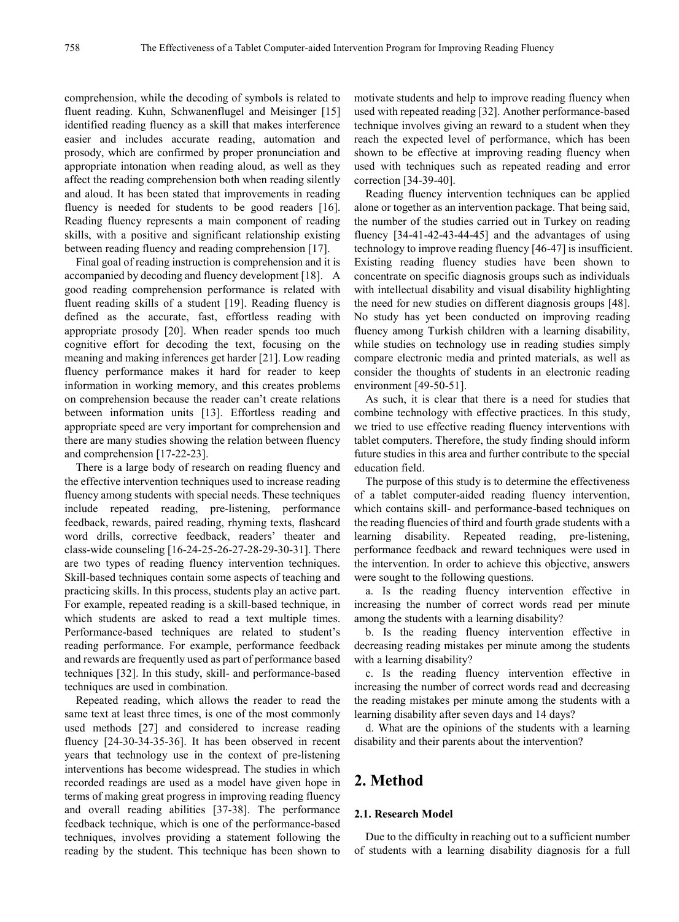comprehension, while the decoding of symbols is related to fluent reading. Kuhn, Schwanenflugel and Meisinger [15] identified reading fluency as a skill that makes interference easier and includes accurate reading, automation and prosody, which are confirmed by proper pronunciation and appropriate intonation when reading aloud, as well as they affect the reading comprehension both when reading silently and aloud. It has been stated that improvements in reading fluency is needed for students to be good readers [16]. Reading fluency represents a main component of reading skills, with a positive and significant relationship existing between reading fluency and reading comprehension [17].

Final goal of reading instruction is comprehension and it is accompanied by decoding and fluency development [18]. A good reading comprehension performance is related with fluent reading skills of a student [19]. Reading fluency is defined as the accurate, fast, effortless reading with appropriate prosody [20]. When reader spends too much cognitive effort for decoding the text, focusing on the meaning and making inferences get harder [21]. Low reading fluency performance makes it hard for reader to keep information in working memory, and this creates problems on comprehension because the reader can't create relations between information units [13]. Effortless reading and appropriate speed are very important for comprehension and there are many studies showing the relation between fluency and comprehension [17-22-23].

There is a large body of research on reading fluency and the effective intervention techniques used to increase reading fluency among students with special needs. These techniques include repeated reading, pre-listening, performance feedback, rewards, paired reading, rhyming texts, flashcard word drills, corrective feedback, readers' theater and class-wide counseling [16-24-25-26-27-28-29-30-31]. There are two types of reading fluency intervention techniques. Skill-based techniques contain some aspects of teaching and practicing skills. In this process, students play an active part. For example, repeated reading is a skill-based technique, in which students are asked to read a text multiple times. Performance-based techniques are related to student's reading performance. For example, performance feedback and rewards are frequently used as part of performance based techniques [32]. In this study, skill- and performance-based techniques are used in combination.

Repeated reading, which allows the reader to read the same text at least three times, is one of the most commonly used methods [27] and considered to increase reading fluency [24-30-34-35-36]. It has been observed in recent years that technology use in the context of pre-listening interventions has become widespread. The studies in which recorded readings are used as a model have given hope in terms of making great progress in improving reading fluency and overall reading abilities [37-38]. The performance feedback technique, which is one of the performance-based techniques, involves providing a statement following the reading by the student. This technique has been shown to

motivate students and help to improve reading fluency when used with repeated reading [32]. Another performance-based technique involves giving an reward to a student when they reach the expected level of performance, which has been shown to be effective at improving reading fluency when used with techniques such as repeated reading and error correction [34-39-40].

Reading fluency intervention techniques can be applied alone or together as an intervention package. That being said, the number of the studies carried out in Turkey on reading fluency  $[34-41-42-43-44-45]$  and the advantages of using technology to improve reading fluency [46-47] is insufficient. Existing reading fluency studies have been shown to concentrate on specific diagnosis groups such as individuals with intellectual disability and visual disability highlighting the need for new studies on different diagnosis groups [48]. No study has yet been conducted on improving reading fluency among Turkish children with a learning disability, while studies on technology use in reading studies simply compare electronic media and printed materials, as well as consider the thoughts of students in an electronic reading environment [49-50-51].

As such, it is clear that there is a need for studies that combine technology with effective practices. In this study, we tried to use effective reading fluency interventions with tablet computers. Therefore, the study finding should inform future studies in this area and further contribute to the special education field.

The purpose of this study is to determine the effectiveness of a tablet computer-aided reading fluency intervention, which contains skill- and performance-based techniques on the reading fluencies of third and fourth grade students with a learning disability. Repeated reading, pre-listening, performance feedback and reward techniques were used in the intervention. In order to achieve this objective, answers were sought to the following questions.

a. Is the reading fluency intervention effective in increasing the number of correct words read per minute among the students with a learning disability?

b. Is the reading fluency intervention effective in decreasing reading mistakes per minute among the students with a learning disability?

c. Is the reading fluency intervention effective in increasing the number of correct words read and decreasing the reading mistakes per minute among the students with a learning disability after seven days and 14 days?

d. What are the opinions of the students with a learning disability and their parents about the intervention?

## **2. Method**

#### **2.1. Research Model**

Due to the difficulty in reaching out to a sufficient number of students with a learning disability diagnosis for a full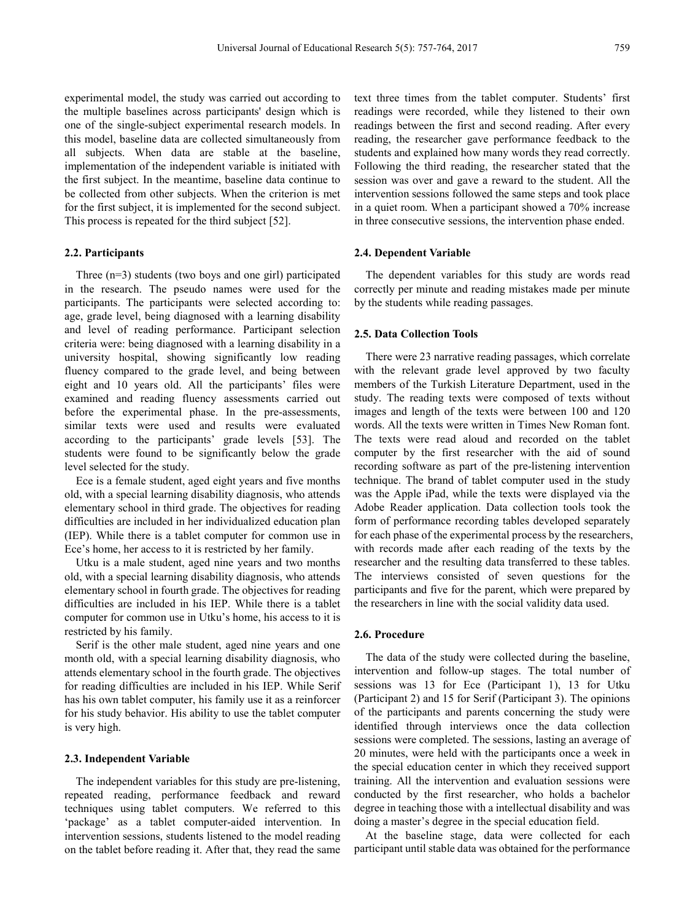experimental model, the study was carried out according to the multiple baselines across participants' design which is one of the single-subject experimental research models. In this model, baseline data are collected simultaneously from all subjects. When data are stable at the baseline, implementation of the independent variable is initiated with the first subject. In the meantime, baseline data continue to be collected from other subjects. When the criterion is met for the first subject, it is implemented for the second subject. This process is repeated for the third subject [52].

#### **2.2. Participants**

Three (n=3) students (two boys and one girl) participated in the research. The pseudo names were used for the participants. The participants were selected according to: age, grade level, being diagnosed with a learning disability and level of reading performance. Participant selection criteria were: being diagnosed with a learning disability in a university hospital, showing significantly low reading fluency compared to the grade level, and being between eight and 10 years old. All the participants' files were examined and reading fluency assessments carried out before the experimental phase. In the pre-assessments, similar texts were used and results were evaluated according to the participants' grade levels [53]. The students were found to be significantly below the grade level selected for the study.

Ece is a female student, aged eight years and five months old, with a special learning disability diagnosis, who attends elementary school in third grade. The objectives for reading difficulties are included in her individualized education plan (IEP). While there is a tablet computer for common use in Ece's home, her access to it is restricted by her family.

Utku is a male student, aged nine years and two months old, with a special learning disability diagnosis, who attends elementary school in fourth grade. The objectives for reading difficulties are included in his IEP. While there is a tablet computer for common use in Utku's home, his access to it is restricted by his family.

Serif is the other male student, aged nine years and one month old, with a special learning disability diagnosis, who attends elementary school in the fourth grade. The objectives for reading difficulties are included in his IEP. While Serif has his own tablet computer, his family use it as a reinforcer for his study behavior. His ability to use the tablet computer is very high.

#### **2.3. Independent Variable**

The independent variables for this study are pre-listening, repeated reading, performance feedback and reward techniques using tablet computers. We referred to this 'package' as a tablet computer-aided intervention. In intervention sessions, students listened to the model reading on the tablet before reading it. After that, they read the same

text three times from the tablet computer. Students' first readings were recorded, while they listened to their own readings between the first and second reading. After every reading, the researcher gave performance feedback to the students and explained how many words they read correctly. Following the third reading, the researcher stated that the session was over and gave a reward to the student. All the intervention sessions followed the same steps and took place in a quiet room. When a participant showed a 70% increase in three consecutive sessions, the intervention phase ended.

#### **2.4. Dependent Variable**

The dependent variables for this study are words read correctly per minute and reading mistakes made per minute by the students while reading passages.

#### **2.5. Data Collection Tools**

There were 23 narrative reading passages, which correlate with the relevant grade level approved by two faculty members of the Turkish Literature Department, used in the study. The reading texts were composed of texts without images and length of the texts were between 100 and 120 words. All the texts were written in Times New Roman font. The texts were read aloud and recorded on the tablet computer by the first researcher with the aid of sound recording software as part of the pre-listening intervention technique. The brand of tablet computer used in the study was the Apple iPad, while the texts were displayed via the Adobe Reader application. Data collection tools took the form of performance recording tables developed separately for each phase of the experimental process by the researchers, with records made after each reading of the texts by the researcher and the resulting data transferred to these tables. The interviews consisted of seven questions for the participants and five for the parent, which were prepared by the researchers in line with the social validity data used.

#### **2.6. Procedure**

The data of the study were collected during the baseline, intervention and follow-up stages. The total number of sessions was 13 for Ece (Participant 1), 13 for Utku (Participant 2) and 15 for Serif (Participant 3). The opinions of the participants and parents concerning the study were identified through interviews once the data collection sessions were completed. The sessions, lasting an average of 20 minutes, were held with the participants once a week in the special education center in which they received support training. All the intervention and evaluation sessions were conducted by the first researcher, who holds a bachelor degree in teaching those with a intellectual disability and was doing a master's degree in the special education field.

At the baseline stage, data were collected for each participant until stable data was obtained for the performance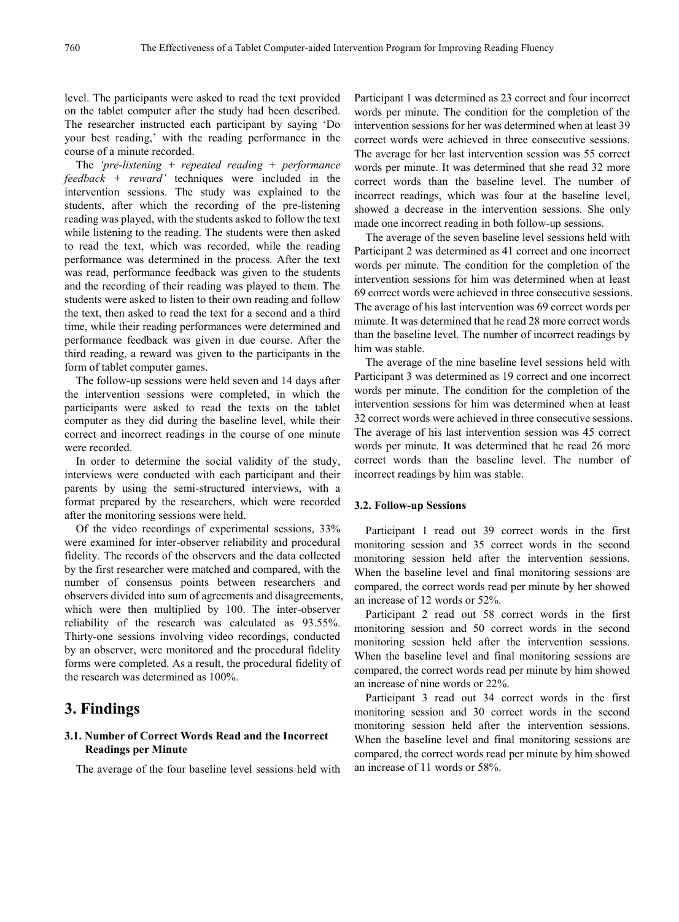level. The participants were asked to read the text provided on the tablet computer after the study had been described. The researcher instructed each participant by saying 'Do your best reading,' with the reading performance in the course of a minute recorded.

The *'pre-listening + repeated reading + performance feedback + reward'* techniques were included in the intervention sessions. The study was explained to the students, after which the recording of the pre-listening reading was played, with the students asked to follow the text while listening to the reading. The students were then asked to read the text, which was recorded, while the reading performance was determined in the process. After the text was read, performance feedback was given to the students and the recording of their reading was played to them. The students were asked to listen to their own reading and follow the text, then asked to read the text for a second and a third time, while their reading performances were determined and performance feedback was given in due course. After the third reading, a reward was given to the participants in the form of tablet computer games.

The follow-up sessions were held seven and 14 days after the intervention sessions were completed, in which the participants were asked to read the texts on the tablet computer as they did during the baseline level, while their correct and incorrect readings in the course of one minute were recorded.

In order to determine the social validity of the study, interviews were conducted with each participant and their parents by using the semi-structured interviews, with a format prepared by the researchers, which were recorded after the monitoring sessions were held.

Of the video recordings of experimental sessions, 33% were examined for inter-observer reliability and procedural fidelity. The records of the observers and the data collected by the first researcher were matched and compared, with the number of consensus points between researchers and observers divided into sum of agreements and disagreements, which were then multiplied by 100. The inter-observer reliability of the research was calculated as 93.55%. Thirty-one sessions involving video recordings, conducted by an observer, were monitored and the procedural fidelity forms were completed. As a result, the procedural fidelity of the research was determined as 100%.

## **3. Findings**

#### **3.1. Number of Correct Words Read and the Incorrect Readings per Minute**

The average of the four baseline level sessions held with

Participant 1 was determined as 23 correct and four incorrect words per minute. The condition for the completion of the intervention sessions for her was determined when at least 39 correct words were achieved in three consecutive sessions. The average for her last intervention session was 55 correct words per minute. It was determined that she read 32 more correct words than the baseline level. The number of incorrect readings, which was four at the baseline level, showed a decrease in the intervention sessions. She only made one incorrect reading in both follow-up sessions.

The average of the seven baseline level sessions held with Participant 2 was determined as 41 correct and one incorrect words per minute. The condition for the completion of the intervention sessions for him was determined when at least 69 correct words were achieved in three consecutive sessions. The average of his last intervention was 69 correct words per minute. It was determined that he read 28 more correct words than the baseline level. The number of incorrect readings by him was stable.

The average of the nine baseline level sessions held with Participant 3 was determined as 19 correct and one incorrect words per minute. The condition for the completion of the intervention sessions for him was determined when at least 32 correct words were achieved in three consecutive sessions. The average of his last intervention session was 45 correct words per minute. It was determined that he read 26 more correct words than the baseline level. The number of incorrect readings by him was stable.

#### **3.2. Follow-up Sessions**

Participant 1 read out 39 correct words in the first monitoring session and 35 correct words in the second monitoring session held after the intervention sessions. When the baseline level and final monitoring sessions are compared, the correct words read per minute by her showed an increase of 12 words or 52%.

Participant 2 read out 58 correct words in the first monitoring session and 50 correct words in the second monitoring session held after the intervention sessions. When the baseline level and final monitoring sessions are compared, the correct words read per minute by him showed an increase of nine words or 22%.

Participant 3 read out 34 correct words in the first monitoring session and 30 correct words in the second monitoring session held after the intervention sessions. When the baseline level and final monitoring sessions are compared, the correct words read per minute by him showed an increase of 11 words or 58%.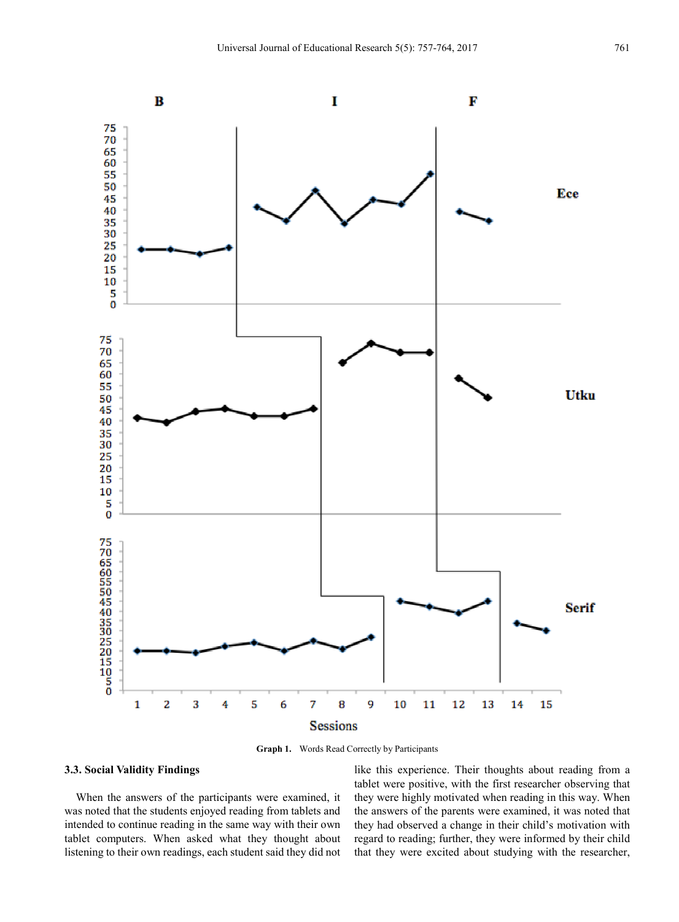

**Graph 1.** Words Read Correctly by Participants

### **3.3. Social Validity Findings**

When the answers of the participants were examined, it was noted that the students enjoyed reading from tablets and intended to continue reading in the same way with their own tablet computers. When asked what they thought about listening to their own readings, each student said they did not like this experience. Their thoughts about reading from a tablet were positive, with the first researcher observing that they were highly motivated when reading in this way. When the answers of the parents were examined, it was noted that they had observed a change in their child's motivation with regard to reading; further, they were informed by their child that they were excited about studying with the researcher,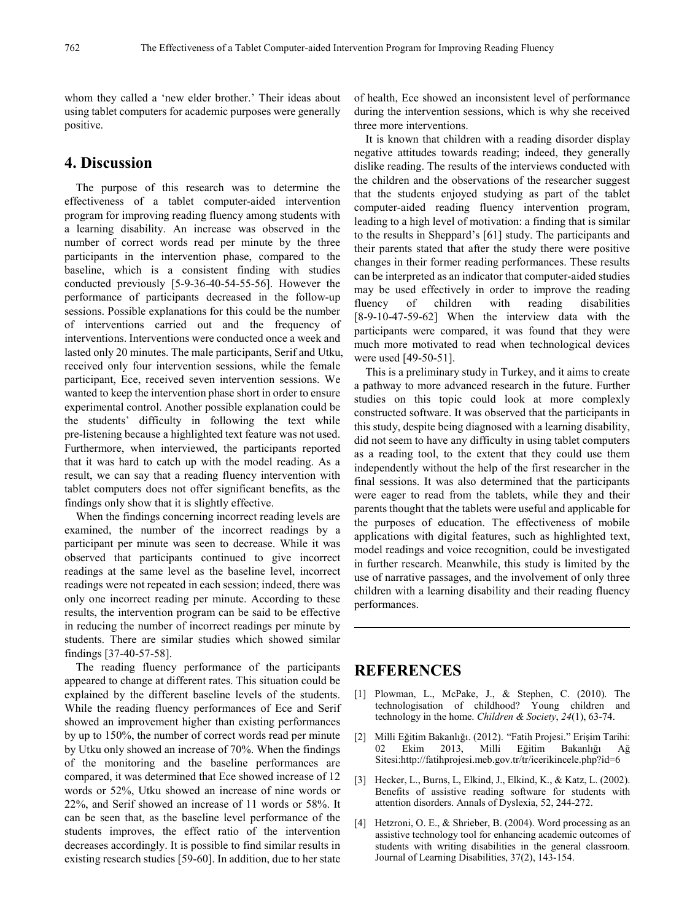whom they called a 'new elder brother.' Their ideas about using tablet computers for academic purposes were generally positive.

## **4. Discussion**

The purpose of this research was to determine the effectiveness of a tablet computer-aided intervention program for improving reading fluency among students with a learning disability. An increase was observed in the number of correct words read per minute by the three participants in the intervention phase, compared to the baseline, which is a consistent finding with studies conducted previously [5-9-36-40-54-55-56]. However the performance of participants decreased in the follow-up sessions. Possible explanations for this could be the number of interventions carried out and the frequency of interventions. Interventions were conducted once a week and lasted only 20 minutes. The male participants, Serif and Utku, received only four intervention sessions, while the female participant, Ece, received seven intervention sessions. We wanted to keep the intervention phase short in order to ensure experimental control. Another possible explanation could be the students' difficulty in following the text while pre-listening because a highlighted text feature was not used. Furthermore, when interviewed, the participants reported that it was hard to catch up with the model reading. As a result, we can say that a reading fluency intervention with tablet computers does not offer significant benefits, as the findings only show that it is slightly effective.

When the findings concerning incorrect reading levels are examined, the number of the incorrect readings by a participant per minute was seen to decrease. While it was observed that participants continued to give incorrect readings at the same level as the baseline level, incorrect readings were not repeated in each session; indeed, there was only one incorrect reading per minute. According to these results, the intervention program can be said to be effective in reducing the number of incorrect readings per minute by students. There are similar studies which showed similar findings [37-40-57-58].

The reading fluency performance of the participants appeared to change at different rates. This situation could be explained by the different baseline levels of the students. While the reading fluency performances of Ece and Serif showed an improvement higher than existing performances by up to 150%, the number of correct words read per minute by Utku only showed an increase of 70%. When the findings of the monitoring and the baseline performances are compared, it was determined that Ece showed increase of 12 words or 52%, Utku showed an increase of nine words or 22%, and Serif showed an increase of 11 words or 58%. It can be seen that, as the baseline level performance of the students improves, the effect ratio of the intervention decreases accordingly. It is possible to find similar results in existing research studies [59-60]. In addition, due to her state

of health, Ece showed an inconsistent level of performance during the intervention sessions, which is why she received three more interventions.

It is known that children with a reading disorder display negative attitudes towards reading; indeed, they generally dislike reading. The results of the interviews conducted with the children and the observations of the researcher suggest that the students enjoyed studying as part of the tablet computer-aided reading fluency intervention program, leading to a high level of motivation: a finding that is similar to the results in Sheppard's [61] study. The participants and their parents stated that after the study there were positive changes in their former reading performances. These results can be interpreted as an indicator that computer-aided studies may be used effectively in order to improve the reading fluency of children with reading disabilities [8-9-10-47-59-62] When the interview data with the participants were compared, it was found that they were much more motivated to read when technological devices were used [49-50-51].

This is a preliminary study in Turkey, and it aims to create a pathway to more advanced research in the future. Further studies on this topic could look at more complexly constructed software. It was observed that the participants in this study, despite being diagnosed with a learning disability, did not seem to have any difficulty in using tablet computers as a reading tool, to the extent that they could use them independently without the help of the first researcher in the final sessions. It was also determined that the participants were eager to read from the tablets, while they and their parents thought that the tablets were useful and applicable for the purposes of education. The effectiveness of mobile applications with digital features, such as highlighted text, model readings and voice recognition, could be investigated in further research. Meanwhile, this study is limited by the use of narrative passages, and the involvement of only three children with a learning disability and their reading fluency performances.

## **REFERENCES**

- [1] Plowman, L., McPake, J., & Stephen, C. (2010). The technologisation of childhood? Young children and technology in the home. *Children & Society*, *24*(1), 63-74.
- [2] Milli Eğitim Bakanlığı. (2012). "Fatih Projesi." Erişim Tarihi: 02 Ekim 2013, Milli Eğitim Bakanlığı Ağ Sitesi:http://fatihprojesi.meb.gov.tr/tr/icerikincele.php?id=6
- [3] Hecker, L., Burns, L, Elkind, J., Elkind, K., & Katz, L. (2002). Benefits of assistive reading software for students with attention disorders. Annals of Dyslexia, 52, 244-272.
- [4] Hetzroni, O. E., & Shrieber, B. (2004). Word processing as an assistive technology tool for enhancing academic outcomes of students with writing disabilities in the general classroom. Journal of Learning Disabilities, 37(2), 143-154.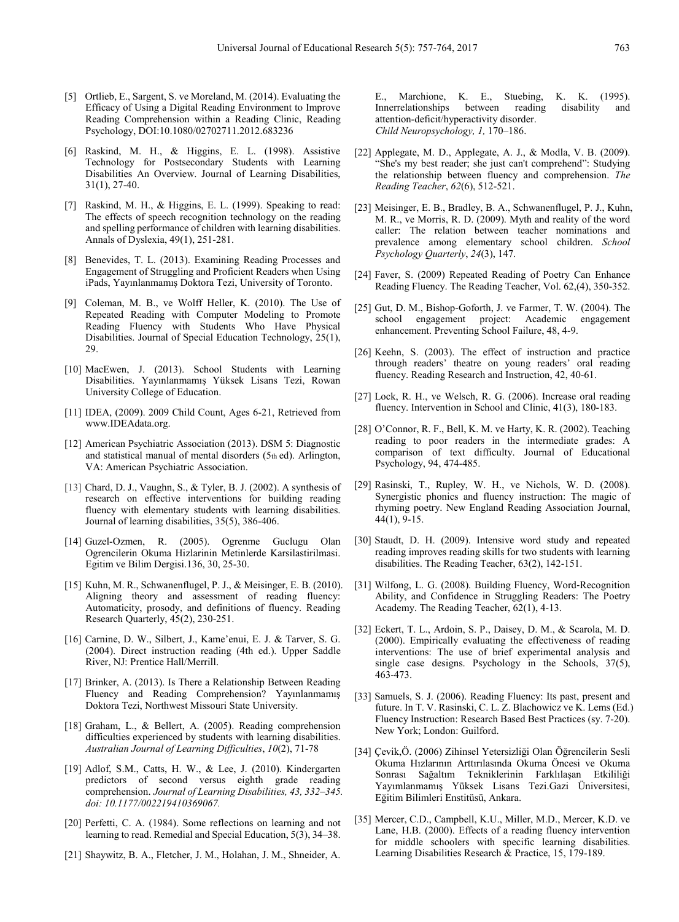- [5] Ortlieb, E., Sargent, S. ve Moreland, M. (2014). Evaluating the Efficacy of Using a Digital Reading Environment to Improve Reading Comprehension within a Reading Clinic, Reading Psychology, DOI:10.1080/02702711.2012.683236
- [6] Raskind, M. H., & Higgins, E. L. (1998). Assistive Technology for Postsecondary Students with Learning Disabilities An Overview. Journal of Learning Disabilities, 31(1), 27-40.
- [7] Raskind, M. H., & Higgins, E. L. (1999). Speaking to read: The effects of speech recognition technology on the reading and spelling performance of children with learning disabilities. Annals of Dyslexia, 49(1), 251-281.
- [8] Benevides, T. L. (2013). Examining Reading Processes and Engagement of Struggling and Proficient Readers when Using iPads, Yayınlanmamış Doktora Tezi, University of Toronto.
- [9] Coleman, M. B., ve Wolff Heller, K. (2010). The Use of Repeated Reading with Computer Modeling to Promote Reading Fluency with Students Who Have Physical Disabilities. Journal of Special Education Technology, 25(1), 29.
- [10] MacEwen, J. (2013). School Students with Learning Disabilities. Yayınlanmamış Yüksek Lisans Tezi, Rowan University College of Education.
- [11] IDEA, (2009). 2009 Child Count, Ages 6-21, Retrieved from www.IDEAdata.org.
- [12] American Psychiatric Association (2013). DSM 5: Diagnostic and statistical manual of mental disorders (5th ed). Arlington, VA: American Psychiatric Association.
- [13] Chard, D. J., Vaughn, S., & Tyler, B. J. (2002). A synthesis of research on effective interventions for building reading fluency with elementary students with learning disabilities. Journal of learning disabilities, 35(5), 386-406.
- [14] Guzel-Ozmen, R. (2005). Ogrenme Guclugu Olan Ogrencilerin Okuma Hizlarinin Metinlerde Karsilastirilmasi. Egitim ve Bilim Dergisi.136, 30, 25-30.
- [15] Kuhn, M. R., Schwanenflugel, P. J., & Meisinger, E. B. (2010). Aligning theory and assessment of reading fluency: Automaticity, prosody, and definitions of fluency. Reading Research Quarterly, 45(2), 230-251.
- [16] Carnine, D. W., Silbert, J., Kame'enui, E. J. & Tarver, S. G. (2004). Direct instruction reading (4th ed.). Upper Saddle River, NJ: Prentice Hall/Merrill.
- [17] Brinker, A. (2013). Is There a Relationship Between Reading Fluency and Reading Comprehension? Yayınlanmamış Doktora Tezi, Northwest Missouri State University.
- [18] Graham, L., & Bellert, A. (2005). Reading comprehension difficulties experienced by students with learning disabilities. *Australian Journal of Learning Difficulties*, *10*(2), 71-78
- [19] Adlof, S.M., Catts, H. W., & Lee, J. (2010). Kindergarten predictors of second versus eighth grade reading comprehension. *Journal of Learning Disabilities, 43, 332–345. doi: 10.1177/002219410369067.*
- [20] Perfetti, C. A. (1984). Some reflections on learning and not learning to read. Remedial and Special Education, 5(3), 34–38.
- [21] Shaywitz, B. A., Fletcher, J. M., Holahan, J. M., Shneider, A.

E., Marchione, K. E., Stuebing, K. K. (1995). Innerrelationships between reading disability and attention-deficit/hyperactivity disorder. *Child Neuropsychology, 1,* 170–186.

- [22] Applegate, M. D., Applegate, A. J., & Modla, V. B. (2009). "She's my best reader; she just can't comprehend": Studying the relationship between fluency and comprehension. *The Reading Teacher*, *62*(6), 512-521.
- [23] Meisinger, E. B., Bradley, B. A., Schwanenflugel, P. J., Kuhn, M. R., ve Morris, R. D. (2009). Myth and reality of the word caller: The relation between teacher nominations and prevalence among elementary school children. *School Psychology Quarterly*, *24*(3), 147.
- [24] Faver, S. (2009) Repeated Reading of Poetry Can Enhance Reading Fluency. The Reading Teacher, Vol. 62,(4), 350-352.
- [25] Gut, D. M., Bishop-Goforth, J. ve Farmer, T. W. (2004). The school engagement project: Academic engagement enhancement. Preventing School Failure, 48, 4-9.
- [26] Keehn, S. (2003). The effect of instruction and practice through readers' theatre on young readers' oral reading fluency. Reading Research and Instruction, 42, 40-61.
- [27] Lock, R. H., ve Welsch, R. G. (2006). Increase oral reading fluency. Intervention in School and Clinic, 41(3), 180-183.
- [28] O'Connor, R. F., Bell, K. M. ve Harty, K. R. (2002). Teaching reading to poor readers in the intermediate grades: A comparison of text difficulty. Journal of Educational Psychology, 94, 474-485.
- [29] Rasinski, T., Rupley, W. H., ve Nichols, W. D. (2008). Synergistic phonics and fluency instruction: The magic of rhyming poetry. New England Reading Association Journal, 44(1), 9-15.
- [30] Staudt, D. H. (2009). Intensive word study and repeated reading improves reading skills for two students with learning disabilities. The Reading Teacher, 63(2), 142-151.
- [31] Wilfong, L. G. (2008). Building Fluency, Word‐Recognition Ability, and Confidence in Struggling Readers: The Poetry Academy. The Reading Teacher, 62(1), 4-13.
- [32] Eckert, T. L., Ardoin, S. P., Daisey, D. M., & Scarola, M. D. (2000). Empirically evaluating the effectiveness of reading interventions: The use of brief experimental analysis and single case designs. Psychology in the Schools, 37(5), 463-473.
- [33] Samuels, S. J. (2006). Reading Fluency: Its past, present and future. In T. V. Rasinski, C. L. Z. Blachowicz ve K. Lems (Ed.) Fluency Instruction: Research Based Best Practices (sy. 7-20). New York; London: Guilford.
- [34] Çevik,Ö. (2006) Zihinsel Yetersizliği Olan Öğrencilerin Sesli Okuma Hızlarının Arttırılasında Okuma Öncesi ve Okuma Sonrası Sağaltım Tekniklerinin Farklılaşan Etkililiği Yayımlanmamış Yüksek Lisans Tezi.Gazi Üniversitesi, Eğitim Bilimleri Enstitüsü, Ankara.
- [35] Mercer, C.D., Campbell, K.U., Miller, M.D., Mercer, K.D. ve Lane, H.B. (2000). Effects of a reading fluency intervention for middle schoolers with specific learning disabilities. Learning Disabilities Research & Practice, 15, 179-189.